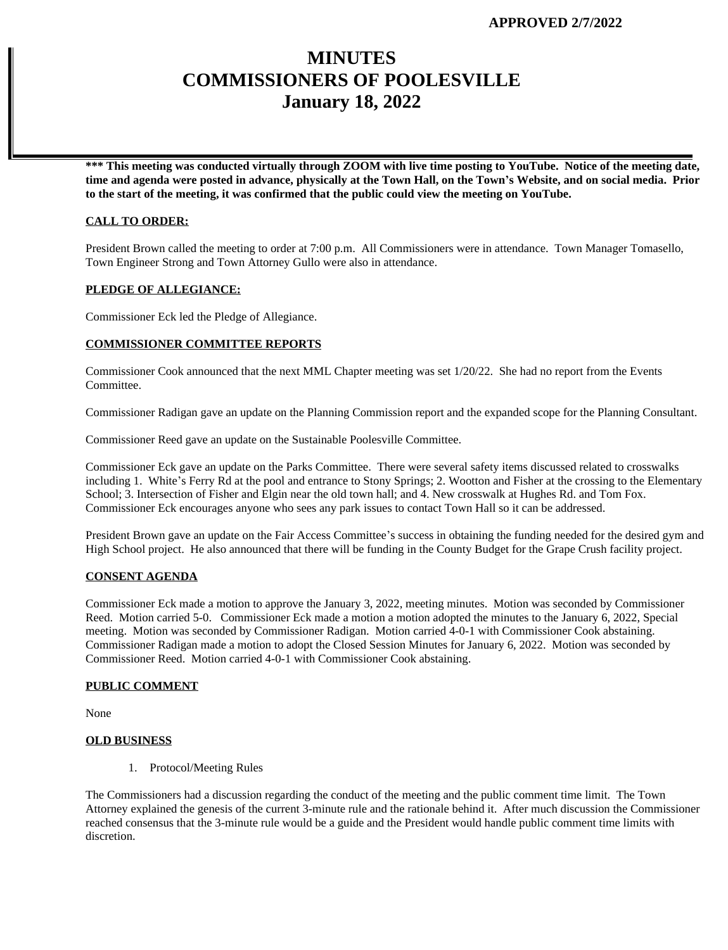# **MINUTES COMMISSIONERS OF POOLESVILLE January 18, 2022**

**\*\*\* This meeting was conducted virtually through ZOOM with live time posting to YouTube. Notice of the meeting date, time and agenda were posted in advance, physically at the Town Hall, on the Town's Website, and on social media. Prior to the start of the meeting, it was confirmed that the public could view the meeting on YouTube.**

#### **CALL TO ORDER:**

President Brown called the meeting to order at 7:00 p.m. All Commissioners were in attendance. Town Manager Tomasello, Town Engineer Strong and Town Attorney Gullo were also in attendance.

#### **PLEDGE OF ALLEGIANCE:**

Commissioner Eck led the Pledge of Allegiance.

#### **COMMISSIONER COMMITTEE REPORTS**

Commissioner Cook announced that the next MML Chapter meeting was set 1/20/22. She had no report from the Events Committee.

Commissioner Radigan gave an update on the Planning Commission report and the expanded scope for the Planning Consultant.

Commissioner Reed gave an update on the Sustainable Poolesville Committee.

Commissioner Eck gave an update on the Parks Committee. There were several safety items discussed related to crosswalks including 1. White's Ferry Rd at the pool and entrance to Stony Springs; 2. Wootton and Fisher at the crossing to the Elementary School; 3. Intersection of Fisher and Elgin near the old town hall; and 4. New crosswalk at Hughes Rd. and Tom Fox. Commissioner Eck encourages anyone who sees any park issues to contact Town Hall so it can be addressed.

President Brown gave an update on the Fair Access Committee's success in obtaining the funding needed for the desired gym and High School project. He also announced that there will be funding in the County Budget for the Grape Crush facility project.

#### **CONSENT AGENDA**

Commissioner Eck made a motion to approve the January 3, 2022, meeting minutes. Motion was seconded by Commissioner Reed. Motion carried 5-0. Commissioner Eck made a motion a motion adopted the minutes to the January 6, 2022, Special meeting. Motion was seconded by Commissioner Radigan. Motion carried 4-0-1 with Commissioner Cook abstaining. Commissioner Radigan made a motion to adopt the Closed Session Minutes for January 6, 2022. Motion was seconded by Commissioner Reed. Motion carried 4-0-1 with Commissioner Cook abstaining.

#### **PUBLIC COMMENT**

None

#### **OLD BUSINESS**

1. Protocol/Meeting Rules

The Commissioners had a discussion regarding the conduct of the meeting and the public comment time limit. The Town Attorney explained the genesis of the current 3-minute rule and the rationale behind it. After much discussion the Commissioner reached consensus that the 3-minute rule would be a guide and the President would handle public comment time limits with discretion.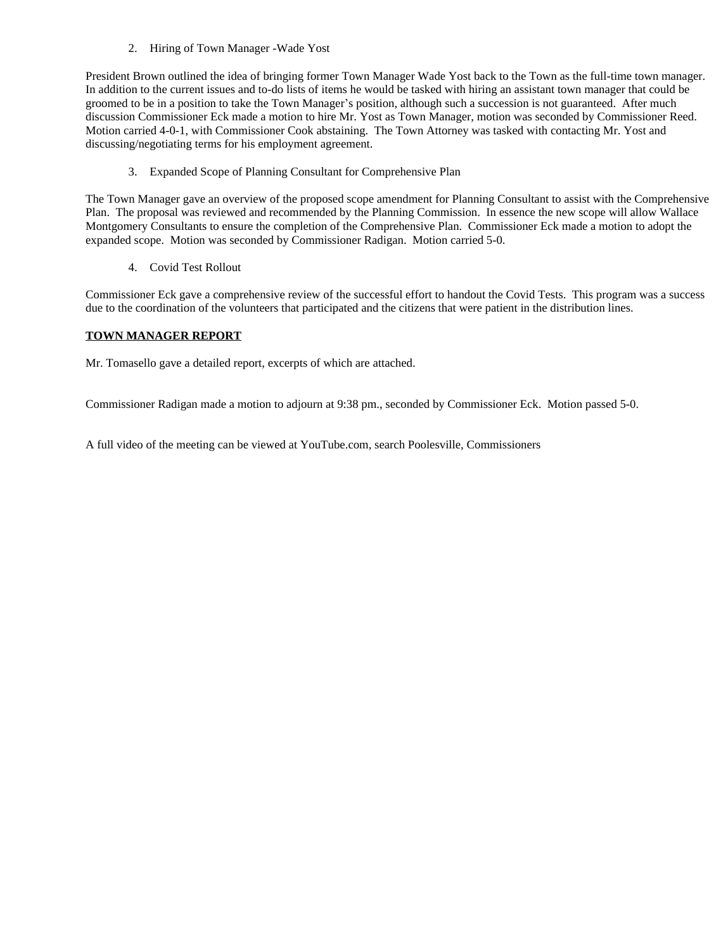### 2. Hiring of Town Manager -Wade Yost

President Brown outlined the idea of bringing former Town Manager Wade Yost back to the Town as the full-time town manager. In addition to the current issues and to-do lists of items he would be tasked with hiring an assistant town manager that could be groomed to be in a position to take the Town Manager's position, although such a succession is not guaranteed. After much discussion Commissioner Eck made a motion to hire Mr. Yost as Town Manager, motion was seconded by Commissioner Reed. Motion carried 4-0-1, with Commissioner Cook abstaining. The Town Attorney was tasked with contacting Mr. Yost and discussing/negotiating terms for his employment agreement.

3. Expanded Scope of Planning Consultant for Comprehensive Plan

The Town Manager gave an overview of the proposed scope amendment for Planning Consultant to assist with the Comprehensive Plan. The proposal was reviewed and recommended by the Planning Commission. In essence the new scope will allow Wallace Montgomery Consultants to ensure the completion of the Comprehensive Plan. Commissioner Eck made a motion to adopt the expanded scope. Motion was seconded by Commissioner Radigan. Motion carried 5-0.

4. Covid Test Rollout

Commissioner Eck gave a comprehensive review of the successful effort to handout the Covid Tests. This program was a success due to the coordination of the volunteers that participated and the citizens that were patient in the distribution lines.

### **TOWN MANAGER REPORT**

Mr. Tomasello gave a detailed report, excerpts of which are attached.

Commissioner Radigan made a motion to adjourn at 9:38 pm., seconded by Commissioner Eck. Motion passed 5-0.

A full video of the meeting can be viewed at YouTube.com, search Poolesville, Commissioners